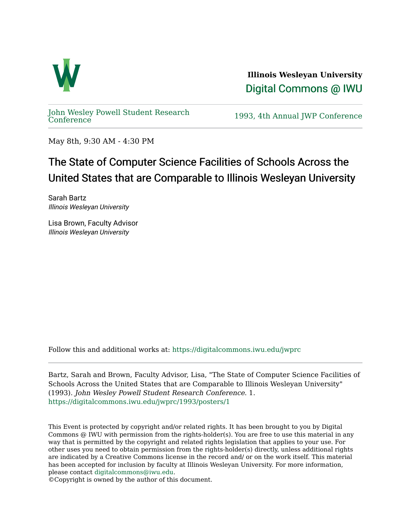

**Illinois Wesleyan University**  [Digital Commons @ IWU](https://digitalcommons.iwu.edu/) 

[John Wesley Powell Student Research](https://digitalcommons.iwu.edu/jwprc) 

1993, 4th Annual JWP [Conference](https://digitalcommons.iwu.edu/jwprc)

May 8th, 9:30 AM - 4:30 PM

## The State of Computer Science Facilities of Schools Across the United States that are Comparable to Illinois Wesleyan University

Sarah Bartz Illinois Wesleyan University

Lisa Brown, Faculty Advisor Illinois Wesleyan University

Follow this and additional works at: [https://digitalcommons.iwu.edu/jwprc](https://digitalcommons.iwu.edu/jwprc?utm_source=digitalcommons.iwu.edu%2Fjwprc%2F1993%2Fposters%2F1&utm_medium=PDF&utm_campaign=PDFCoverPages) 

Bartz, Sarah and Brown, Faculty Advisor, Lisa, "The State of Computer Science Facilities of Schools Across the United States that are Comparable to Illinois Wesleyan University" (1993). John Wesley Powell Student Research Conference. 1. [https://digitalcommons.iwu.edu/jwprc/1993/posters/1](https://digitalcommons.iwu.edu/jwprc/1993/posters/1?utm_source=digitalcommons.iwu.edu%2Fjwprc%2F1993%2Fposters%2F1&utm_medium=PDF&utm_campaign=PDFCoverPages) 

This Event is protected by copyright and/or related rights. It has been brought to you by Digital Commons @ IWU with permission from the rights-holder(s). You are free to use this material in any way that is permitted by the copyright and related rights legislation that applies to your use. For other uses you need to obtain permission from the rights-holder(s) directly, unless additional rights are indicated by a Creative Commons license in the record and/ or on the work itself. This material has been accepted for inclusion by faculty at Illinois Wesleyan University. For more information, please contact [digitalcommons@iwu.edu.](mailto:digitalcommons@iwu.edu)

©Copyright is owned by the author of this document.